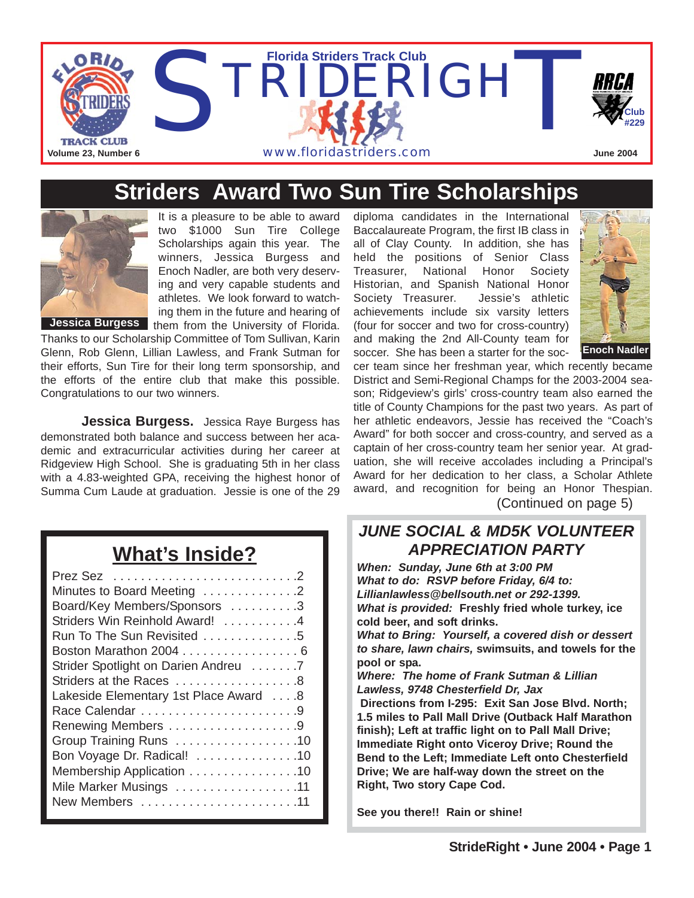

### **Striders Award Two Sun Tire Scholarships**



It is a pleasure to be able to award two \$1000 Sun Tire College Scholarships again this year. The winners, Jessica Burgess and Enoch Nadler, are both very deserving and very capable students and athletes. We look forward to watching them in the future and hearing of Jessica Burgess them from the University of Florida.

Thanks to our Scholarship Committee of Tom Sullivan, Karin Glenn, Rob Glenn, Lillian Lawless, and Frank Sutman for their efforts, Sun Tire for their long term sponsorship, and the efforts of the entire club that make this possible. Congratulations to our two winners.

**Jessica Burgess.** Jessica Raye Burgess has demonstrated both balance and success between her academic and extracurricular activities during her career at Ridgeview High School. She is graduating 5th in her class with a 4.83-weighted GPA, receiving the highest honor of Summa Cum Laude at graduation. Jessie is one of the 29

# **What's Inside?**

| Minutes to Board Meeting 2            |
|---------------------------------------|
| Board/Key Members/Sponsors 3          |
| Striders Win Reinhold Award! 4        |
| Run To The Sun Revisited 5            |
| Boston Marathon 2004 6                |
| Strider Spotlight on Darien Andreu 7  |
| Striders at the Races 8               |
| Lakeside Elementary 1st Place Award 8 |
|                                       |
| Renewing Members 9                    |
| Group Training Runs 10                |
| Bon Voyage Dr. Radical! 10            |
| Membership Application 10             |
| Mile Marker Musings 11                |
| New Members 11                        |
|                                       |

diploma candidates in the International Baccalaureate Program, the first IB class in all of Clay County. In addition, she has held the positions of Senior Class Treasurer, National Honor Society Historian, and Spanish National Honor Society Treasurer. Jessie's athletic achievements include six varsity letters (four for soccer and two for cross-country) and making the 2nd All-County team for soccer. She has been a starter for the soc-



cer team since her freshman year, which recently became District and Semi-Regional Champs for the 2003-2004 season; Ridgeview's girls' cross-country team also earned the title of County Champions for the past two years. As part of her athletic endeavors, Jessie has received the "Coach's Award" for both soccer and cross-country, and served as a captain of her cross-country team her senior year. At graduation, she will receive accolades including a Principal's Award for her dedication to her class, a Scholar Athlete award, and recognition for being an Honor Thespian. (Continued on page 5)

#### *JUNE SOCIAL & MD5K VOLUNTEER APPRECIATION PARTY*

*When: Sunday, June 6th at 3:00 PM What to do: RSVP before Friday, 6/4 to: Lillianlawless@bellsouth.net or 292-1399. What is provided:* **Freshly fried whole turkey, ice cold beer, and soft drinks.**

*What to Bring: Yourself, a covered dish or dessert to share, lawn chairs,* **swimsuits, and towels for the pool or spa.** 

*Where: The home of Frank Sutman & Lillian Lawless, 9748 Chesterfield Dr, Jax* 

**Directions from I-295: Exit San Jose Blvd. North; 1.5 miles to Pall Mall Drive (Outback Half Marathon finish); Left at traffic light on to Pall Mall Drive; Immediate Right onto Viceroy Drive; Round the Bend to the Left; Immediate Left onto Chesterfield Drive; We are half-way down the street on the Right, Two story Cape Cod.**

**See you there!! Rain or shine!**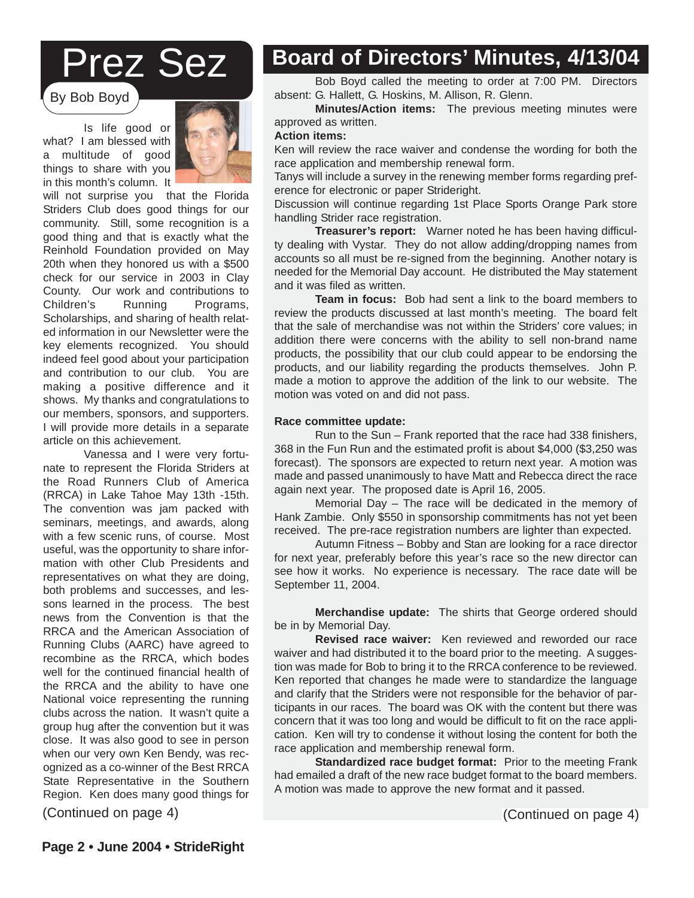# Prez Sez

By Bob Boyd

Is life good or what? I am blessed with a multitude of good things to share with you in this month's column. It



will not surprise you that the Florida Striders Club does good things for our community. Still, some recognition is a good thing and that is exactly what the Reinhold Foundation provided on May 20th when they honored us with a \$500 check for our service in 2003 in Clay County. Our work and contributions to Children's Running Programs, Scholarships, and sharing of health related information in our Newsletter were the key elements recognized. You should indeed feel good about your participation and contribution to our club. You are making a positive difference and it shows. My thanks and congratulations to our members, sponsors, and supporters. I will provide more details in a separate article on this achievement.

Vanessa and I were very fortunate to represent the Florida Striders at the Road Runners Club of America (RRCA) in Lake Tahoe May 13th -15th. The convention was jam packed with seminars, meetings, and awards, along with a few scenic runs, of course. Most useful, was the opportunity to share information with other Club Presidents and representatives on what they are doing, both problems and successes, and lessons learned in the process. The best news from the Convention is that the RRCA and the American Association of Running Clubs (AARC) have agreed to recombine as the RRCA, which bodes well for the continued financial health of the RRCA and the ability to have one National voice representing the running clubs across the nation. It wasn't quite a group hug after the convention but it was close. It was also good to see in person when our very own Ken Bendy, was recognized as a co-winner of the Best RRCA State Representative in the Southern Region. Ken does many good things for

### **Board of Directors' Minutes, 4/13/04**

Bob Boyd called the meeting to order at 7:00 PM. Directors absent: G. Hallett, G. Hoskins, M. Allison, R. Glenn.

**Minutes/Action items:** The previous meeting minutes were approved as written.

#### **Action items:**

Ken will review the race waiver and condense the wording for both the race application and membership renewal form.

Tanys will include a survey in the renewing member forms regarding preference for electronic or paper Strideright.

Discussion will continue regarding 1st Place Sports Orange Park store handling Strider race registration.

**Treasurer's report:** Warner noted he has been having difficulty dealing with Vystar. They do not allow adding/dropping names from accounts so all must be re-signed from the beginning. Another notary is needed for the Memorial Day account. He distributed the May statement and it was filed as written.

**Team in focus:** Bob had sent a link to the board members to review the products discussed at last month's meeting. The board felt that the sale of merchandise was not within the Striders' core values; in addition there were concerns with the ability to sell non-brand name products, the possibility that our club could appear to be endorsing the products, and our liability regarding the products themselves. John P. made a motion to approve the addition of the link to our website. The motion was voted on and did not pass.

#### **Race committee update:**

Run to the Sun – Frank reported that the race had 338 finishers, 368 in the Fun Run and the estimated profit is about \$4,000 (\$3,250 was forecast). The sponsors are expected to return next year. A motion was made and passed unanimously to have Matt and Rebecca direct the race again next year. The proposed date is April 16, 2005.

Memorial Day – The race will be dedicated in the memory of Hank Zambie. Only \$550 in sponsorship commitments has not yet been received. The pre-race registration numbers are lighter than expected.

Autumn Fitness – Bobby and Stan are looking for a race director for next year, preferably before this year's race so the new director can see how it works. No experience is necessary. The race date will be September 11, 2004.

**Strider Discounts! Merchandise update:** The shirts that George ordered should We have enjoyed a 10% merchanbe in by Memorial Day.

**Revised race waiver:** Ken reviewed and reworded our race waiver and had distributed it to the board prior to the meeting. A suggesnon was made for Bob to bring it to the KKCA comerence to be reviewed.<br>Ken reported that changes he made were to standardize the language and clarify that the Striders were not responsible for the behavior of participants in our races. The board was OK with the content but there was concern that it was too long and would be difficult to fit on the race application. Ken will try to condense it without losing the content for both the tion was made for Bob to bring it to the RRCA conference to be reviewed. race application and membership renewal form.

andard members up renewar form.<br>**Standardized race budget format:** Prior to the meeting Frank had emailed a draft of the new race budget format to the board members. A motion was made to approve the new format and it passed.

(Continued on page 4) (Continued on page 4)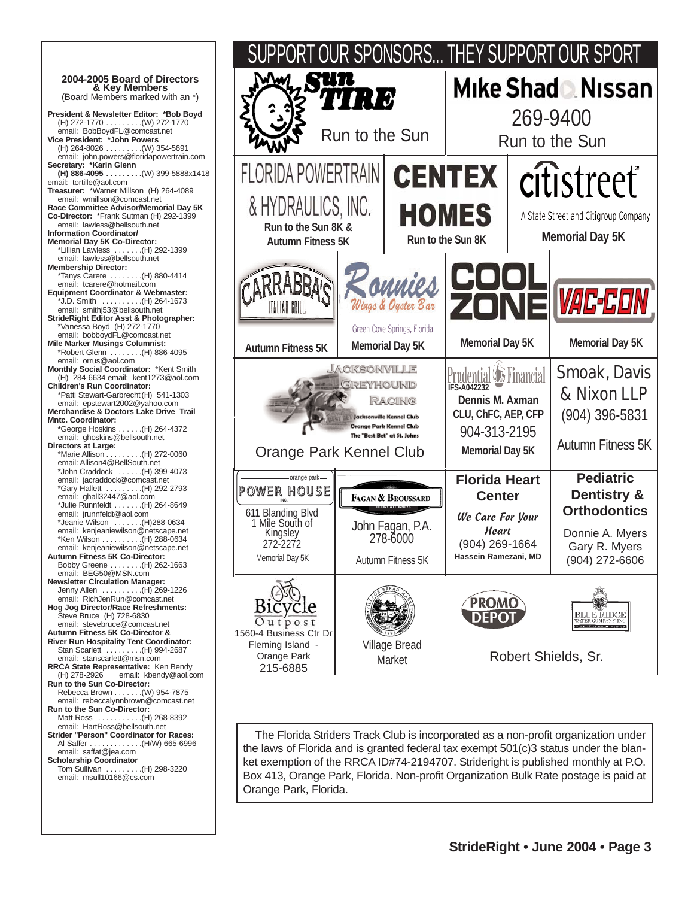**2004-2005 Board of Directors**  (Board Members marked with an \*) **President & Newsletter Editor: \*Bob Boyd** (H) 272-1770 . . . . . . . . .(W) 272-1770 email: BobBoydFL@comcast.net **Vice President: \*John Powers** (H) 264-8026 . . . . . . . . .(W) 354-5691 email: john.powers@floridapowertrain.com **Secretary: \*Karin Glenn (H) 886-4095 . . . . . . . . .**(W) 399-5888x1418 email: tortille@aol.com **Treasurer:** \*Warner Millson (H) 264-4089 email: wmillson@comcast.net **Race Committee Advisor/Memorial Day 5K Co-Director:** \*Frank Sutman (H) 292-1399 email: lawless@bellsouth.net **Information Coordinator/ Memorial Day 5K Co-Director:** \*Lillian Lawless . . . . . . .(H) 292-1399 email: lawless@bellsouth.net **Membership Director:** \*Tanys Carere . . . . . . . .(H) 880-4414 email: tcarere@hotmail.com **Equipment Coordinator & Webmaster:** \*J.D. Smith . . . . . . . . . .(H) 264-1673 email: smithj53@bellsouth.net **StrideRight Editor Asst & Photographer:** \*Vanessa Boyd (H) 272-1770 email: bobboydFL@comcast.net **Mile Marker Musings Columnist:**  $\ldots$  . . . . . . (H) 886-4095 email: orrus@aol.com **Monthly Social Coordinator:** \*Kent Smith (H) 284-6634 email: kent1273@aol.com **Children's Run Coordinator:**  \*Patti Stewart-Garbrecht(H) 541-1303 email: epstewart2002@yahoo.com **Merchandise & Doctors Lake Drive Trail Mntc. Coordinator: \***George Hoskins . . . . . .(H) 264-4372 email: ghoskins@bellsouth.net **Directors at Large:**  $\ldots$  (H) 272-0060 email: Allison4@BellSouth.net \*John Craddock . . . . . .(H) 399-4073 email: jacraddock@comcast.net \*Gary Hallett . . . . . . . . .(H) 292-2793 email: ghall32447@aol.com \*Julie Runnfeldt . . . . . . .(H) 264-8649 email: jrunnfeldt@aol.com \*Jeanie Wilson . . . . . . .(H)288-0634 email: kenjeaniewilson@netscape.net \*Ken Wilson . . . . . . . . . .(H) 288-0634 email: kenjeaniewilson@netscape.net **Autumn Fitness 5K Co-Director:** Bobby Greene . . . . . . . .(H) 262-1663 email: BEG50@MSN.com **Newsletter Circulation Manager:**  $\ldots$  . . . . . . (H) 269-1226 email: RichJenRun@comcast.net **Hog Jog Director/Race Refreshments:**  Steve Bruce (H) 728-6830 email: stevebruce@comcast.net **Autumn Fitness 5K Co-Director & River Run Hospitality Tent Coordinator:** Stan Scarlett . . . . . . . . . . (H) 994-2687 email: stanscarlett@msn.com **RRCA State Representative:** Ken Bendy<br>(H) 278-2926 email: kbendy@aol.c email: kbendy@aol.com **Run to the Sun Co-Director:** Rebecca Brown . . . . . . .(W) 954-7875 email: rebeccalynnbrown@comcast.net **Run to the Sun Co-Director:** Matt Ross . . . . . . . . . . .(H) 268-8392 email: HartRoss@bellsouth.net **Strider "Person" Coordinator for Races:** Al Saffer . . . . . . . . . . . . .(H/W) 665-6996 email: saffat@jea.com **Scholarship Coordinator** Tom Sullivan . . . . . . . . .(H) 298-3220 email: msull10166@cs.com



The Florida Striders Track Club is incorporated as a non-profit organization under the laws of Florida and is granted federal tax exempt 501(c)3 status under the blanket exemption of the RRCA ID#74-2194707. Strideright is published monthly at P.O. Box 413, Orange Park, Florida. Non-profit Organization Bulk Rate postage is paid at Orange Park, Florida.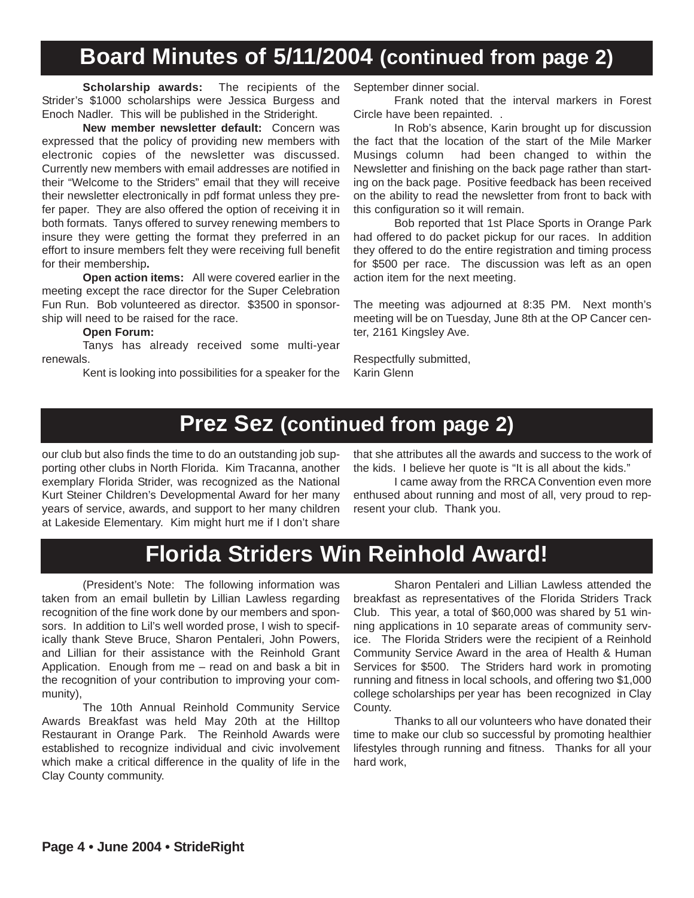## **Board Minutes of 5/11/2004 (continued from page 2)**

**Scholarship awards:** The recipients of the Strider's \$1000 scholarships were Jessica Burgess and Enoch Nadler. This will be published in the Strideright.

**New member newsletter default:** Concern was expressed that the policy of providing new members with electronic copies of the newsletter was discussed. Currently new members with email addresses are notified in their "Welcome to the Striders" email that they will receive their newsletter electronically in pdf format unless they prefer paper. They are also offered the option of receiving it in both formats. Tanys offered to survey renewing members to insure they were getting the format they preferred in an effort to insure members felt they were receiving full benefit for their membership**.**

**Open action items:** All were covered earlier in the meeting except the race director for the Super Celebration Fun Run. Bob volunteered as director. \$3500 in sponsorship will need to be raised for the race.

#### **Open Forum:**

Tanys has already received some multi-year renewals.

Kent is looking into possibilities for a speaker for the

September dinner social.

Frank noted that the interval markers in Forest Circle have been repainted. .

In Rob's absence, Karin brought up for discussion the fact that the location of the start of the Mile Marker Musings column had been changed to within the Newsletter and finishing on the back page rather than starting on the back page. Positive feedback has been received on the ability to read the newsletter from front to back with this configuration so it will remain.

Bob reported that 1st Place Sports in Orange Park had offered to do packet pickup for our races. In addition they offered to do the entire registration and timing process for \$500 per race. The discussion was left as an open action item for the next meeting.

The meeting was adjourned at 8:35 PM. Next month's meeting will be on Tuesday, June 8th at the OP Cancer center, 2161 Kingsley Ave.

Respectfully submitted, Karin Glenn

### **Prez Sez (continued from page 2)**

our club but also finds the time to do an outstanding job supporting other clubs in North Florida. Kim Tracanna, another exemplary Florida Strider, was recognized as the National Kurt Steiner Children's Developmental Award for her many years of service, awards, and support to her many children at Lakeside Elementary. Kim might hurt me if I don't share

that she attributes all the awards and success to the work of the kids. I believe her quote is "It is all about the kids."

I came away from the RRCA Convention even more enthused about running and most of all, very proud to represent your club. Thank you.

### **Florida Striders Win Reinhold Award!**

(President's Note: The following information was taken from an email bulletin by Lillian Lawless regarding recognition of the fine work done by our members and sponsors. In addition to Lil's well worded prose, I wish to specifically thank Steve Bruce, Sharon Pentaleri, John Powers, and Lillian for their assistance with the Reinhold Grant Application. Enough from me – read on and bask a bit in the recognition of your contribution to improving your community),

The 10th Annual Reinhold Community Service Awards Breakfast was held May 20th at the Hilltop Restaurant in Orange Park. The Reinhold Awards were established to recognize individual and civic involvement which make a critical difference in the quality of life in the Clay County community.

Sharon Pentaleri and Lillian Lawless attended the breakfast as representatives of the Florida Striders Track Club. This year, a total of \$60,000 was shared by 51 winning applications in 10 separate areas of community service. The Florida Striders were the recipient of a Reinhold Community Service Award in the area of Health & Human Services for \$500. The Striders hard work in promoting running and fitness in local schools, and offering two \$1,000 college scholarships per year has been recognized in Clay County.

Thanks to all our volunteers who have donated their time to make our club so successful by promoting healthier lifestyles through running and fitness. Thanks for all your hard work,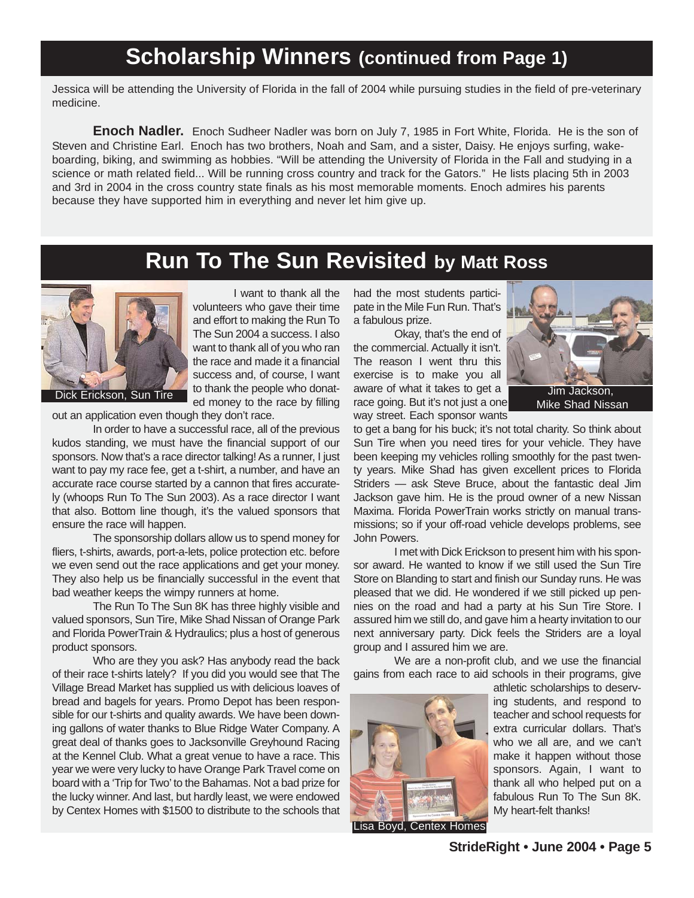### **Scholarship Winners (continued from Page 1)**

Jessica will be attending the University of Florida in the fall of 2004 while pursuing studies in the field of pre-veterinary medicine.

**Enoch Nadler.** Enoch Sudheer Nadler was born on July 7, 1985 in Fort White, Florida. He is the son of Steven and Christine Earl. Enoch has two brothers, Noah and Sam, and a sister, Daisy. He enjoys surfing, wakeboarding, biking, and swimming as hobbies. "Will be attending the University of Florida in the Fall and studying in a science or math related field... Will be running cross country and track for the Gators." He lists placing 5th in 2003 and 3rd in 2004 in the cross country state finals as his most memorable moments. Enoch admires his parents because they have supported him in everything and never let him give up.

# **Run To The Sun Revisited by Matt Ross**



I want to thank all the volunteers who gave their time and effort to making the Run To The Sun 2004 a success. I also want to thank all of you who ran the race and made it a financial success and, of course, I want to thank the people who donated money to the race by filling Dick Erickson, Sun Tire to thank the people who donat-<br>
The South of the Milkes to get a limit Jackson,

out an application even though they don't race.

In order to have a successful race, all of the previous kudos standing, we must have the financial support of our sponsors. Now that's a race director talking! As a runner, I just want to pay my race fee, get a t-shirt, a number, and have an accurate race course started by a cannon that fires accurately (whoops Run To The Sun 2003). As a race director I want that also. Bottom line though, it's the valued sponsors that ensure the race will happen.

The sponsorship dollars allow us to spend money for fliers, t-shirts, awards, port-a-lets, police protection etc. before we even send out the race applications and get your money. They also help us be financially successful in the event that bad weather keeps the wimpy runners at home.

The Run To The Sun 8K has three highly visible and valued sponsors, Sun Tire, Mike Shad Nissan of Orange Park and Florida PowerTrain & Hydraulics; plus a host of generous product sponsors.

Who are they you ask? Has anybody read the back of their race t-shirts lately? If you did you would see that The Village Bread Market has supplied us with delicious loaves of bread and bagels for years. Promo Depot has been responsible for our t-shirts and quality awards. We have been downing gallons of water thanks to Blue Ridge Water Company. A great deal of thanks goes to Jacksonville Greyhound Racing at the Kennel Club. What a great venue to have a race. This year we were very lucky to have Orange Park Travel come on board with a 'Trip for Two' to the Bahamas. Not a bad prize for the lucky winner. And last, but hardly least, we were endowed by Centex Homes with \$1500 to distribute to the schools that had the most students participate in the Mile Fun Run. That's a fabulous prize.

Okay, that's the end of the commercial. Actually it isn't. The reason I went thru this exercise is to make you all aware of what it takes to get a race going. But it's not just a one way street. Each sponsor wants



Mike Shad Nissan

to get a bang for his buck; it's not total charity. So think about Sun Tire when you need tires for your vehicle. They have been keeping my vehicles rolling smoothly for the past twenty years. Mike Shad has given excellent prices to Florida Striders — ask Steve Bruce, about the fantastic deal Jim Jackson gave him. He is the proud owner of a new Nissan Maxima. Florida PowerTrain works strictly on manual transmissions; so if your off-road vehicle develops problems, see John Powers.

I met with Dick Erickson to present him with his sponsor award. He wanted to know if we still used the Sun Tire Store on Blanding to start and finish our Sunday runs. He was pleased that we did. He wondered if we still picked up pennies on the road and had a party at his Sun Tire Store. I assured him we still do, and gave him a hearty invitation to our next anniversary party. Dick feels the Striders are a loyal group and I assured him we are.

We are a non-profit club, and we use the financial gains from each race to aid schools in their programs, give



athletic scholarships to deserving students, and respond to teacher and school requests for extra curricular dollars. That's who we all are, and we can't make it happen without those sponsors. Again, I want to thank all who helped put on a fabulous Run To The Sun 8K. My heart-felt thanks!

**StrideRight • June 2004 • Page 5**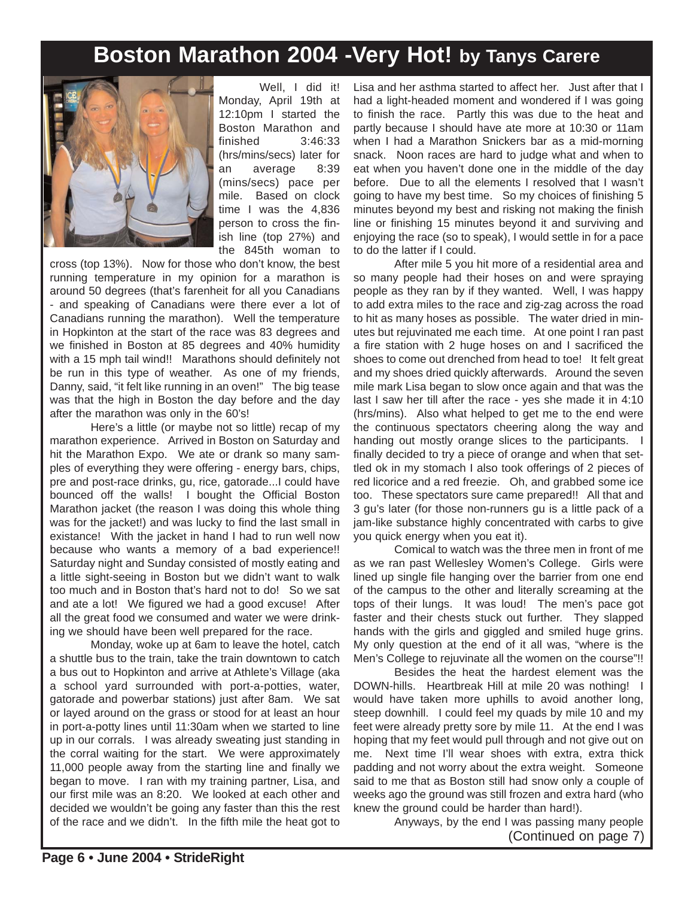# **Boston Marathon 2004 -Very Hot! by Tanys Carere**



Well. I did it! Monday, April 19th at 12:10pm I started the Boston Marathon and finished 3:46:33 (hrs/mins/secs) later for an average 8:39 (mins/secs) pace per mile. Based on clock time I was the 4,836 person to cross the finish line (top 27%) and the 845th woman to

cross (top 13%). Now for those who don't know, the best running temperature in my opinion for a marathon is around 50 degrees (that's farenheit for all you Canadians - and speaking of Canadians were there ever a lot of Canadians running the marathon). Well the temperature in Hopkinton at the start of the race was 83 degrees and we finished in Boston at 85 degrees and 40% humidity with a 15 mph tail wind!! Marathons should definitely not be run in this type of weather. As one of my friends, Danny, said, "it felt like running in an oven!" The big tease was that the high in Boston the day before and the day after the marathon was only in the 60's!

Here's a little (or maybe not so little) recap of my marathon experience. Arrived in Boston on Saturday and hit the Marathon Expo. We ate or drank so many samples of everything they were offering - energy bars, chips, pre and post-race drinks, gu, rice, gatorade...I could have bounced off the walls! I bought the Official Boston Marathon jacket (the reason I was doing this whole thing was for the jacket!) and was lucky to find the last small in existance! With the jacket in hand I had to run well now because who wants a memory of a bad experience!! Saturday night and Sunday consisted of mostly eating and a little sight-seeing in Boston but we didn't want to walk too much and in Boston that's hard not to do! So we sat and ate a lot! We figured we had a good excuse! After all the great food we consumed and water we were drinking we should have been well prepared for the race.

Monday, woke up at 6am to leave the hotel, catch a shuttle bus to the train, take the train downtown to catch a bus out to Hopkinton and arrive at Athlete's Village (aka a school yard surrounded with port-a-potties, water, gatorade and powerbar stations) just after 8am. We sat or layed around on the grass or stood for at least an hour in port-a-potty lines until 11:30am when we started to line up in our corrals. I was already sweating just standing in the corral waiting for the start. We were approximately 11,000 people away from the starting line and finally we began to move. I ran with my training partner, Lisa, and our first mile was an 8:20. We looked at each other and decided we wouldn't be going any faster than this the rest of the race and we didn't. In the fifth mile the heat got to

Lisa and her asthma started to affect her. Just after that I had a light-headed moment and wondered if I was going to finish the race. Partly this was due to the heat and partly because I should have ate more at 10:30 or 11am when I had a Marathon Snickers bar as a mid-morning snack. Noon races are hard to judge what and when to eat when you haven't done one in the middle of the day before. Due to all the elements I resolved that I wasn't going to have my best time. So my choices of finishing 5 minutes beyond my best and risking not making the finish line or finishing 15 minutes beyond it and surviving and enjoying the race (so to speak), I would settle in for a pace to do the latter if I could.

After mile 5 you hit more of a residential area and so many people had their hoses on and were spraying people as they ran by if they wanted. Well, I was happy to add extra miles to the race and zig-zag across the road to hit as many hoses as possible. The water dried in minutes but rejuvinated me each time. At one point I ran past a fire station with 2 huge hoses on and I sacrificed the shoes to come out drenched from head to toe! It felt great and my shoes dried quickly afterwards. Around the seven mile mark Lisa began to slow once again and that was the last I saw her till after the race - yes she made it in 4:10 (hrs/mins). Also what helped to get me to the end were the continuous spectators cheering along the way and handing out mostly orange slices to the participants. I finally decided to try a piece of orange and when that settled ok in my stomach I also took offerings of 2 pieces of red licorice and a red freezie. Oh, and grabbed some ice too. These spectators sure came prepared!! All that and 3 gu's later (for those non-runners gu is a little pack of a jam-like substance highly concentrated with carbs to give you quick energy when you eat it).

Comical to watch was the three men in front of me as we ran past Wellesley Women's College. Girls were lined up single file hanging over the barrier from one end of the campus to the other and literally screaming at the tops of their lungs. It was loud! The men's pace got faster and their chests stuck out further. They slapped hands with the girls and giggled and smiled huge grins. My only question at the end of it all was, "where is the Men's College to rejuvinate all the women on the course"!!

Besides the heat the hardest element was the DOWN-hills. Heartbreak Hill at mile 20 was nothing! I would have taken more uphills to avoid another long, steep downhill. I could feel my quads by mile 10 and my feet were already pretty sore by mile 11. At the end I was hoping that my feet would pull through and not give out on me. Next time I'll wear shoes with extra, extra thick padding and not worry about the extra weight. Someone said to me that as Boston still had snow only a couple of weeks ago the ground was still frozen and extra hard (who knew the ground could be harder than hard!).

Anyways, by the end I was passing many people (Continued on page 7)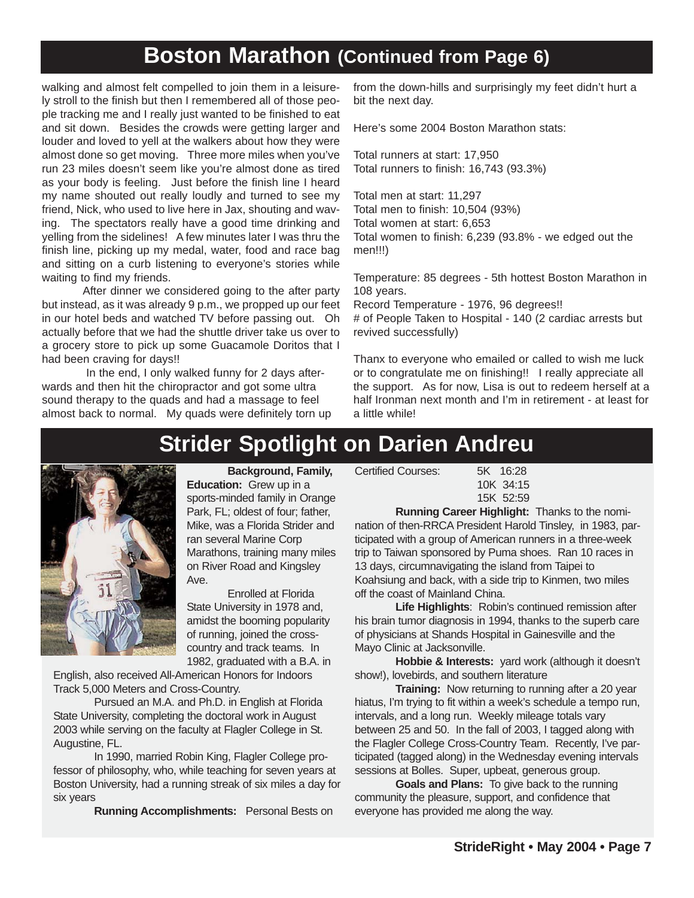## **Boston Marathon (Continued from Page 6)**

walking and almost felt compelled to join them in a leisurely stroll to the finish but then I remembered all of those people tracking me and I really just wanted to be finished to eat and sit down. Besides the crowds were getting larger and louder and loved to yell at the walkers about how they were almost done so get moving. Three more miles when you've run 23 miles doesn't seem like you're almost done as tired as your body is feeling. Just before the finish line I heard my name shouted out really loudly and turned to see my friend, Nick, who used to live here in Jax, shouting and waving. The spectators really have a good time drinking and yelling from the sidelines! A few minutes later I was thru the finish line, picking up my medal, water, food and race bag and sitting on a curb listening to everyone's stories while waiting to find my friends.

After dinner we considered going to the after party but instead, as it was already 9 p.m., we propped up our feet in our hotel beds and watched TV before passing out. Oh actually before that we had the shuttle driver take us over to a grocery store to pick up some Guacamole Doritos that I had been craving for days!!

In the end, I only walked funny for 2 days afterwards and then hit the chiropractor and got some ultra sound therapy to the quads and had a massage to feel almost back to normal. My quads were definitely torn up

from the down-hills and surprisingly my feet didn't hurt a bit the next day.

Here's some 2004 Boston Marathon stats:

Total runners at start: 17,950 Total runners to finish: 16,743 (93.3%)

Total men at start: 11,297 Total men to finish: 10,504 (93%) Total women at start: 6,653 Total women to finish: 6,239 (93.8% - we edged out the men!!!)

Temperature: 85 degrees - 5th hottest Boston Marathon in 108 years.

Record Temperature - 1976, 96 degrees!! # of People Taken to Hospital - 140 (2 cardiac arrests but revived successfully)

Thanx to everyone who emailed or called to wish me luck or to congratulate me on finishing!! I really appreciate all the support. As for now, Lisa is out to redeem herself at a half Ironman next month and I'm in retirement - at least for a little while!

# **Strider Spotlight on Darien Andreu**



**Background, Family, Education:** Grew up in a sports-minded family in Orange Park, FL; oldest of four; father, Mike, was a Florida Strider and ran several Marine Corp Marathons, training many miles on River Road and Kingsley Ave.

Enrolled at Florida State University in 1978 and, amidst the booming popularity of running, joined the crosscountry and track teams. In 1982, graduated with a B.A. in

English, also received All-American Honors for Indoors Track 5,000 Meters and Cross-Country.

Pursued an M.A. and Ph.D. in English at Florida State University, completing the doctoral work in August 2003 while serving on the faculty at Flagler College in St. Augustine, FL.

In 1990, married Robin King, Flagler College professor of philosophy, who, while teaching for seven years at Boston University, had a running streak of six miles a day for six years

**Running Accomplishments:** Personal Bests on

Certified Courses: 5K 16:28

10K 34:15 15K 52:59

**Running Career Highlight:** Thanks to the nomination of then-RRCA President Harold Tinsley, in 1983, participated with a group of American runners in a three-week trip to Taiwan sponsored by Puma shoes. Ran 10 races in 13 days, circumnavigating the island from Taipei to Koahsiung and back, with a side trip to Kinmen, two miles off the coast of Mainland China.

**Life Highlights**: Robin's continued remission after his brain tumor diagnosis in 1994, thanks to the superb care of physicians at Shands Hospital in Gainesville and the Mayo Clinic at Jacksonville.

**Hobbie & Interests:** yard work (although it doesn't show!), lovebirds, and southern literature

**Training:** Now returning to running after a 20 year hiatus, I'm trying to fit within a week's schedule a tempo run, intervals, and a long run. Weekly mileage totals vary between 25 and 50. In the fall of 2003, I tagged along with the Flagler College Cross-Country Team. Recently, I've participated (tagged along) in the Wednesday evening intervals sessions at Bolles. Super, upbeat, generous group.

**Goals and Plans:** To give back to the running community the pleasure, support, and confidence that everyone has provided me along the way.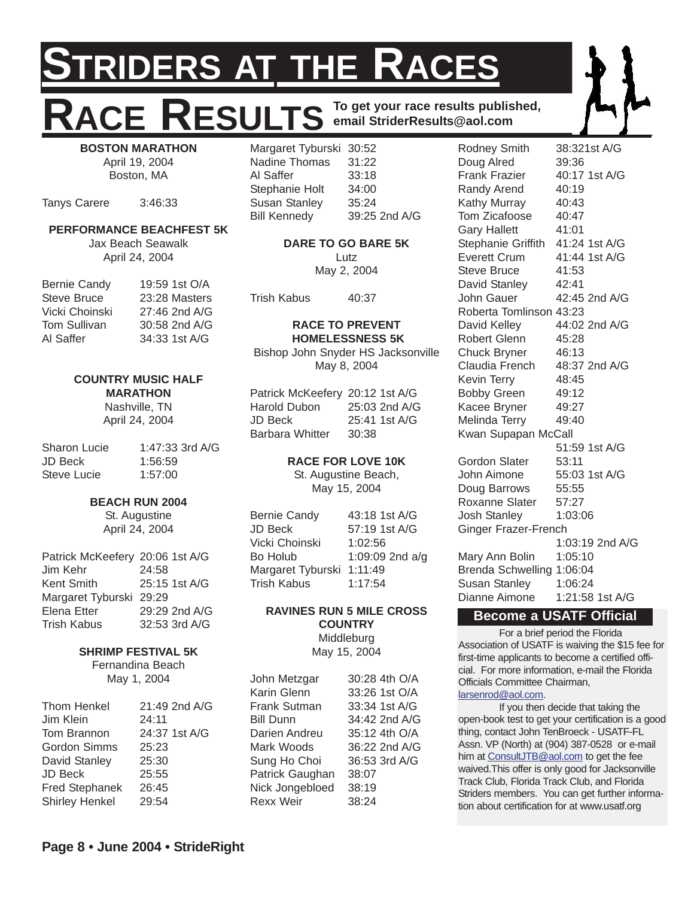# **IDERS AT THE RACES** RESULTS To get your race results published, **email StriderResults@aol.com**

**BOSTON MARATHON** April 19, 2004 Boston, MA

Tanys Carere 3:46:33

#### **PERFORMANCE BEACHFEST 5K**

Jax Beach Seawalk April 24, 2004

| <b>Bernie Candy</b> | 19:59 1st O/A |
|---------------------|---------------|
| Steve Bruce         | 23:28 Masters |
| Vicki Choinski      | 27:46 2nd A/G |
| Tom Sullivan        | 30:58 2nd A/G |
| Al Saffer           | 34:33 1st A/G |

#### **COUNTRY MUSIC HALF MARATHON**

Nashville, TN April 24, 2004

| Sharon Lucie | 1:47:33 3rd A/G |
|--------------|-----------------|
| JD Beck      | 1:56:59         |
| Steve Lucie  | 1:57:00         |

#### **BEACH RUN 2004**

St. Augustine April 24, 2004

| Patrick McKeefery 20:06 1st A/G |               |
|---------------------------------|---------------|
| Jim Kehr                        | 24:58         |
| <b>Kent Smith</b>               | 25:15 1st A/G |
| Margaret Tyburski 29:29         |               |
| Elena Etter                     | 29:29 2nd A/G |
| <b>Trish Kabus</b>              | 32:53 3rd A/G |

#### **SHRIMP FESTIVAL 5K**

Fernandina Beach May 1, 2004

| 21:49 2nd A/G |
|---------------|
| 24:11         |
| 24:37 1st A/G |
| 25:23         |
| 25:30         |
| 25:55         |
| 26:45         |
| 29:54         |
|               |

| Margaret Tyburski 30:52 |               |
|-------------------------|---------------|
| Nadine Thomas           | 31:22         |
| Al Saffer               | 33:18         |
| Stephanie Holt          | 34:00         |
| <b>Susan Stanley</b>    | 35:24         |
| <b>Bill Kennedy</b>     | 39:25 2nd A/G |

**DARE TO GO BARE 5K** Lutz

May 2, 2004

Trish Kabus 40:37

#### **RACE TO PREVENT HOMELESSNESS 5K**

Bishop John Snyder HS Jacksonville May 8, 2004

| Patrick McKeefery 20:12 1st A/G |       |               |
|---------------------------------|-------|---------------|
| Harold Dubon                    |       | 25:03 2nd A/G |
| JD Beck                         |       | 25:41 1st A/G |
| <b>Barbara Whitter</b>          | 30:38 |               |

#### **RACE FOR LOVE 10K**

St. Augustine Beach, May 15, 2004

| <b>Bernie Candy</b> | 43:18 1st A/G     |
|---------------------|-------------------|
| JD Beck             | 57:19 1st A/G     |
| Vicki Choinski      | 1:02:56           |
| Bo Holub            | 1:09:09 2nd $a/q$ |
| Margaret Tyburski   | 1:11:49           |
| Trish Kabus         | 1:17:54           |

#### **RAVINES RUN 5 MILE CROSS COUNTRY Middleburg**

May 15, 2004

| John Metzgar     | 30:28 4th O/A |
|------------------|---------------|
| Karin Glenn      | 33:26 1st O/A |
| Frank Sutman     | 33:34 1st A/G |
| <b>Bill Dunn</b> | 34:42 2nd A/G |
| Darien Andreu    | 35:12 4th O/A |
| Mark Woods       | 36:22 2nd A/G |
| Sung Ho Choi     | 36:53 3rd A/G |
| Patrick Gaughan  | 38:07         |
| Nick Jongebloed  | 38:19         |
| <b>Rexx Weir</b> | 38:24         |

Rodney Smith 38:321st A/G Doug Alred 39:36 Frank Frazier 40:17 1st A/G Randy Arend 40:19 Kathy Murray 40:43 Tom Zicafoose 40:47 Gary Hallett 41:01 Stephanie Griffith 41:24 1st A/G Everett Crum 41:44 1st A/G Steve Bruce 41:53 David Stanley 42:41 John Gauer 42:45 2nd A/G Roberta Tomlinson 43:23 David Kelley 44:02 2nd A/G Robert Glenn 45:28 Chuck Bryner 46:13 Claudia French 48:37 2nd A/G Kevin Terry 48:45 Bobby Green 49:12 Kacee Bryner 49:27 Melinda Terry 49:40 Kwan Supapan McCall 51:59 1st A/G Gordon Slater 53:11 John Aimone 55:03 1st A/G Doug Barrows 55:55 Roxanne Slater 57:27 Josh Stanley 1:03:06 Ginger Frazer-French 1:03:19 2nd A/G Mary Ann Bolin 1:05:10 Brenda Schwelling 1:06:04 Susan Stanley 1:06:24 Dianne Aimone 1:21:58 1st A/G

#### **Become a USATF Official**

For a brief period the Florida Association of USATF is waiving the \$15 fee for first-time applicants to become a certified official. For more information, e-mail the Florida Officials Committee Chairman, larsenrod@aol.com.

If you then decide that taking the open-book test to get your certification is a good thing, contact John TenBroeck - USATF-FL Assn. VP (North) at (904) 387-0528 or e-mail him at ConsultJTB@aol.com to get the fee waived.This offer is only good for Jacksonville Track Club, Florida Track Club, and Florida Striders members. You can get further information about certification for at www.usatf.org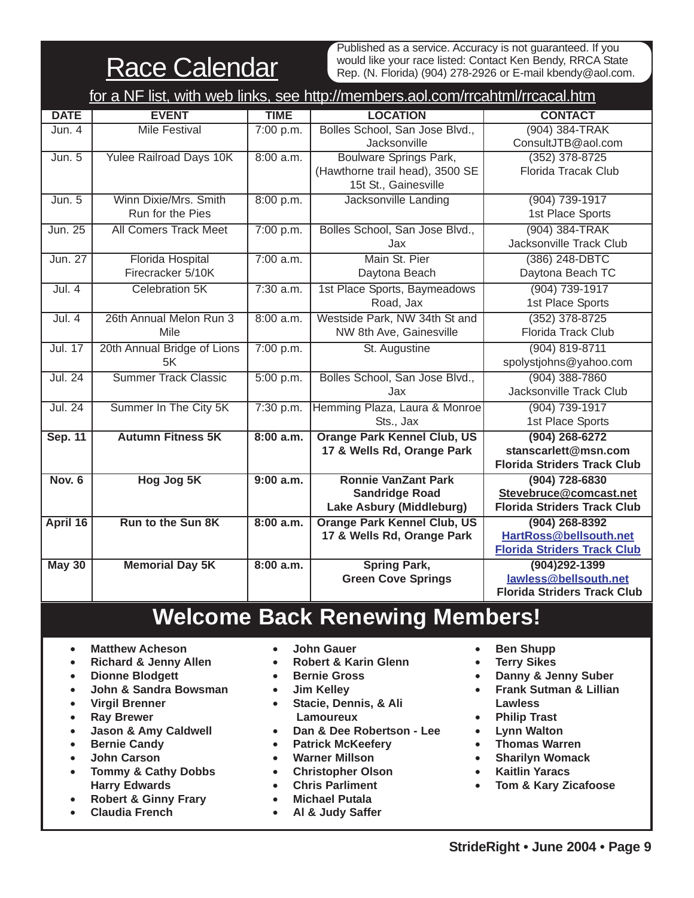**Race Calendar** 

Published as a service. Accuracy is not guaranteed. If you would like your race listed: Contact Ken Bendy, RRCA State Rep. (N. Florida) (904) 278-2926 or E-mail kbendy@aol.com.

| for a NF list, with web links, see http://members.aol.com/rrcahtml/rrcacal.htm |                                |             |                                    |                                    |
|--------------------------------------------------------------------------------|--------------------------------|-------------|------------------------------------|------------------------------------|
| <b>DATE</b>                                                                    | <b>EVENT</b>                   | <b>TIME</b> | <b>LOCATION</b>                    | <b>CONTACT</b>                     |
| Jun. 4                                                                         | <b>Mile Festival</b>           | 7:00 p.m.   | Bolles School, San Jose Blvd.,     | (904) 384-TRAK                     |
|                                                                                |                                |             | Jacksonville                       | ConsultJTB@aol.com                 |
| Jun. 5                                                                         | <b>Yulee Railroad Days 10K</b> | 8:00 a.m.   | <b>Boulware Springs Park,</b>      | $(352)$ 378-8725                   |
|                                                                                |                                |             | (Hawthorne trail head), 3500 SE    | Florida Tracak Club                |
|                                                                                |                                |             | 15t St., Gainesville               |                                    |
| Jun. 5                                                                         | Winn Dixie/Mrs. Smith          | 8:00 p.m.   | Jacksonville Landing               | (904) 739-1917                     |
|                                                                                | Run for the Pies               |             |                                    | 1st Place Sports                   |
| Jun. 25                                                                        | <b>All Comers Track Meet</b>   | 7:00 p.m.   | Bolles School, San Jose Blvd.,     | (904) 384-TRAK                     |
|                                                                                |                                |             | Jax                                | Jacksonville Track Club            |
| Jun. 27                                                                        | <b>Florida Hospital</b>        | 7:00 a.m.   | Main St. Pier                      | (386) 248-DBTC                     |
|                                                                                | Firecracker 5/10K              |             | Daytona Beach                      | Daytona Beach TC                   |
| Jul.4                                                                          | Celebration 5K                 | $7:30$ a.m. | 1st Place Sports, Baymeadows       | (904) 739-1917                     |
|                                                                                |                                |             | Road, Jax                          | 1st Place Sports                   |
| Jul.4                                                                          | 26th Annual Melon Run 3        | 8:00 a.m.   | Westside Park, NW 34th St and      | $(352)$ 378-8725                   |
|                                                                                | Mile                           |             | NW 8th Ave, Gainesville            | Florida Track Club                 |
| <b>Jul. 17</b>                                                                 | 20th Annual Bridge of Lions    | 7:00 p.m.   | St. Augustine                      | $(904) 819 - 8711$                 |
|                                                                                | 5K                             |             |                                    | spolystjohns@yahoo.com             |
| <b>Jul. 24</b>                                                                 | <b>Summer Track Classic</b>    | 5:00 p.m.   | Bolles School, San Jose Blvd.,     | $(904)$ 388-7860                   |
|                                                                                |                                |             | Jax                                | Jacksonville Track Club            |
| Jul. 24                                                                        | Summer In The City 5K          | 7:30 p.m.   | Hemming Plaza, Laura & Monroe      | (904) 739-1917                     |
|                                                                                |                                |             | Sts., Jax                          | 1st Place Sports                   |
| <b>Sep. 11</b>                                                                 | <b>Autumn Fitness 5K</b>       | 8:00 a.m.   | <b>Orange Park Kennel Club, US</b> | $(904)$ 268-6272                   |
|                                                                                |                                |             | 17 & Wells Rd, Orange Park         | stanscarlett@msn.com               |
|                                                                                |                                |             |                                    | <b>Florida Striders Track Club</b> |
| <b>Nov. 6</b>                                                                  | Hog Jog 5K                     | 9:00 a.m.   | <b>Ronnie VanZant Park</b>         | $(904) 728 - 6830$                 |
|                                                                                |                                |             | <b>Sandridge Road</b>              | Stevebruce@comcast.net             |
|                                                                                |                                |             | Lake Asbury (Middleburg)           | <b>Florida Striders Track Club</b> |
| April 16                                                                       | Run to the Sun 8K              | 8:00 a.m.   | <b>Orange Park Kennel Club, US</b> | $(904)$ 268-8392                   |
|                                                                                |                                |             | 17 & Wells Rd, Orange Park         | HartRoss@bellsouth.net             |
|                                                                                |                                |             |                                    | <b>Florida Striders Track Club</b> |
| <b>May 30</b>                                                                  | <b>Memorial Day 5K</b>         | 8:00 a.m.   | <b>Spring Park,</b>                | $(904)292 - 1399$                  |
|                                                                                |                                |             | <b>Green Cove Springs</b>          | lawless@bellsouth.net              |
|                                                                                |                                |             |                                    | <b>Florida Striders Track Club</b> |

# **Welcome Back Renewing Members!**

- **Matthew Acheson**
- **Richard & Jenny Allen**
- **Dionne Blodgett**
- **John & Sandra Bowsman**
- **Virgil Brenner**
- **Ray Brewer**
- **Jason & Amy Caldwell**
- **Bernie Candy**
- **John Carson**
- **Tommy & Cathy Dobbs Harry Edwards**
- **Robert & Ginny Frary**
- **Claudia French**
- **John Gauer**
- **Robert & Karin Glenn**
- **Bernie Gross**
- **Jim Kelley**
- **Stacie, Dennis, & Ali Lamoureux**
- **Dan & Dee Robertson Lee**
- **Patrick McKeefery**
- **Warner Millson**
- **Christopher Olson**
- **Chris Parliment**
- **Michael Putala**
- **Al & Judy Saffer**
- **Ben Shupp**
- **Terry Sikes**
- **Danny & Jenny Suber**
- **Frank Sutman & Lillian Lawless**
- **Philip Trast**
- **Lynn Walton**
- **Thomas Warren**
- **Sharilyn Womack**
- **Kaitlin Yaracs**
- **Tom & Kary Zicafoose**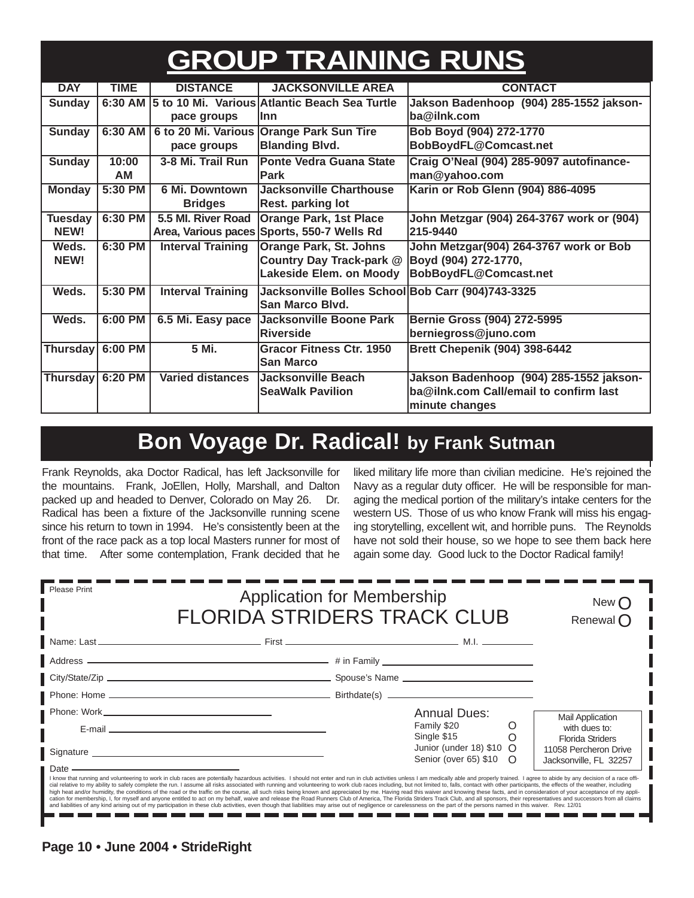# **GROUP TRAINING RUNS**

| <b>DAY</b>       | <b>TIME</b> | <b>DISTANCE</b>          | <b>JACKSONVILLE AREA</b>                          | <b>CONTACT</b>                            |  |
|------------------|-------------|--------------------------|---------------------------------------------------|-------------------------------------------|--|
| <b>Sunday</b>    | 6:30 AM     |                          | 5 to 10 Mi. Various Atlantic Beach Sea Turtle     | Jakson Badenhoop (904) 285-1552 jakson-   |  |
|                  |             | pace groups              | llnn                                              | ba@ilnk.com                               |  |
| <b>Sunday</b>    | 6:30 AM     | 6 to 20 Mi. Various      | <b>Orange Park Sun Tire</b>                       | Bob Boyd (904) 272-1770                   |  |
|                  |             | pace groups              | <b>Blanding Blvd.</b>                             | BobBoydFL@Comcast.net                     |  |
| <b>Sunday</b>    | 10:00       | 3-8 Mi. Trail Run        | Ponte Vedra Guana State                           | Craig O'Neal (904) 285-9097 autofinance-  |  |
|                  | <b>AM</b>   |                          | <b>Park</b>                                       | man@yahoo.com                             |  |
| <b>Monday</b>    | 5:30 PM     | 6 Mi. Downtown           | <b>Jacksonville Charthouse</b>                    | Karin or Rob Glenn (904) 886-4095         |  |
|                  |             | <b>Bridges</b>           | Rest. parking lot                                 |                                           |  |
| <b>Tuesday</b>   | 6:30 PM     | 5.5 MI. River Road       | <b>Orange Park, 1st Place</b>                     | John Metzgar (904) 264-3767 work or (904) |  |
| NEW!             |             | Area, Various paces      | Sports, 550-7 Wells Rd                            | 215-9440                                  |  |
| Weds.            | 6:30 PM     | <b>Interval Training</b> | <b>Orange Park, St. Johns</b>                     | John Metzgar(904) 264-3767 work or Bob    |  |
| NEW!             |             |                          | Country Day Track-park @                          | Boyd (904) 272-1770,                      |  |
|                  |             |                          | Lakeside Elem. on Moody                           | BobBoydFL@Comcast.net                     |  |
| Weds.            | 5:30 PM     | <b>Interval Training</b> | Jacksonville Bolles School Bob Carr (904)743-3325 |                                           |  |
|                  |             |                          | <b>San Marco Blvd.</b>                            |                                           |  |
| Weds.            | 6:00 PM     | 6.5 Mi. Easy pace        | <b>Jacksonville Boone Park</b>                    | Bernie Gross (904) 272-5995               |  |
|                  |             |                          | Riverside                                         | berniegross@juno.com                      |  |
| Thursday 6:00 PM |             | 5 Mi.                    | <b>Gracor Fitness Ctr. 1950</b>                   | <b>Brett Chepenik (904) 398-6442</b>      |  |
|                  |             |                          | <b>San Marco</b>                                  |                                           |  |
| Thursday 6:20 PM |             | <b>Varied distances</b>  | Jacksonville Beach                                | Jakson Badenhoop (904) 285-1552 jakson-   |  |
|                  |             |                          | <b>SeaWalk Pavilion</b>                           | ba@ilnk.com Call/email to confirm last    |  |
|                  |             |                          |                                                   | minute changes                            |  |

# **Bon Voyage Dr. Radical! by Frank Sutman**

Frank Reynolds, aka Doctor Radical, has left Jacksonville for the mountains. Frank, JoEllen, Holly, Marshall, and Dalton packed up and headed to Denver, Colorado on May 26. Dr. Radical has been a fixture of the Jacksonville running scene since his return to town in 1994. He's consistently been at the front of the race pack as a top local Masters runner for most of that time. After some contemplation, Frank decided that he

liked military life more than civilian medicine. He's rejoined the Navy as a regular duty officer. He will be responsible for managing the medical portion of the military's intake centers for the western US. Those of us who know Frank will miss his engaging storytelling, excellent wit, and horrible puns. The Reynolds have not sold their house, so we hope to see them back here again some day. Good luck to the Doctor Radical family!

> n e n m n m m e

| Please Print<br><b>Application for Membership</b><br><b>FLORIDA STRIDERS TRACK CLUB</b> |                                                                                                                                                                                                                                                                                                                                                                                                                                                                                                                                                                                                                                                                                                                                                                                                                                                                                                                                                                                                                                                                                                                                                                    |                                                               | New (<br>Renewal $\bigcap$ |                                                 |
|-----------------------------------------------------------------------------------------|--------------------------------------------------------------------------------------------------------------------------------------------------------------------------------------------------------------------------------------------------------------------------------------------------------------------------------------------------------------------------------------------------------------------------------------------------------------------------------------------------------------------------------------------------------------------------------------------------------------------------------------------------------------------------------------------------------------------------------------------------------------------------------------------------------------------------------------------------------------------------------------------------------------------------------------------------------------------------------------------------------------------------------------------------------------------------------------------------------------------------------------------------------------------|---------------------------------------------------------------|----------------------------|-------------------------------------------------|
|                                                                                         |                                                                                                                                                                                                                                                                                                                                                                                                                                                                                                                                                                                                                                                                                                                                                                                                                                                                                                                                                                                                                                                                                                                                                                    |                                                               |                            |                                                 |
|                                                                                         |                                                                                                                                                                                                                                                                                                                                                                                                                                                                                                                                                                                                                                                                                                                                                                                                                                                                                                                                                                                                                                                                                                                                                                    |                                                               |                            |                                                 |
|                                                                                         |                                                                                                                                                                                                                                                                                                                                                                                                                                                                                                                                                                                                                                                                                                                                                                                                                                                                                                                                                                                                                                                                                                                                                                    |                                                               |                            |                                                 |
|                                                                                         |                                                                                                                                                                                                                                                                                                                                                                                                                                                                                                                                                                                                                                                                                                                                                                                                                                                                                                                                                                                                                                                                                                                                                                    |                                                               |                            |                                                 |
|                                                                                         |                                                                                                                                                                                                                                                                                                                                                                                                                                                                                                                                                                                                                                                                                                                                                                                                                                                                                                                                                                                                                                                                                                                                                                    | <b>Annual Dues:</b>                                           |                            | <b>Mail Application</b>                         |
|                                                                                         | E-mail entertainment and the contract of the contract of the contract of the contract of the contract of the contract of the contract of the contract of the contract of the contract of the contract of the contract of the c                                                                                                                                                                                                                                                                                                                                                                                                                                                                                                                                                                                                                                                                                                                                                                                                                                                                                                                                     | Family \$20<br>Single \$15                                    | O                          | with dues to:<br><b>Florida Striders</b>        |
|                                                                                         | Signature Signature Signature Signature Signature Signature Signature Signature Signature Signature Signature Signature Signature Signature Signature Signature Signature Signature Signature Signature Signature Signature Si                                                                                                                                                                                                                                                                                                                                                                                                                                                                                                                                                                                                                                                                                                                                                                                                                                                                                                                                     | Junior (under 18) $$10$ $\bigcirc$<br>Senior (over 65) \$10 O |                            | 11058 Percheron Drive<br>Jacksonville, FL 32257 |
| $\blacksquare$ Date $\blacksquare$                                                      | I know that running and volunteering to work in club races are potentially hazardous activities. I should not enter and run in club activities unless I am medically able and properly trained. I agree to abide by any decisi<br>cial relative to my ability to safely complete the run. I assume all risks associated with running and volunteering to work club races including, but not limited to, falls, contact with other participants, the effects of t<br>high heat and/or humidity, the conditions of the road or the traffic on the course, all such risks being known and appreciated by me. Having read this waiver and knowing these facts, and in consideration of your acceptance<br>cation for membership, I, for myself and anyone entitled to act on my behalf, waive and release the Road Runners Club of America, The Florida Striders Track Club, and all sponsors, their representatives and successors from<br>and liabilities of any kind arising out of my participation in these club activities, even though that liabilities may arise out of negligence or carelessness on the part of the persons named in this waiver. Rev. 12/01 |                                                               |                            |                                                 |

----------------

n m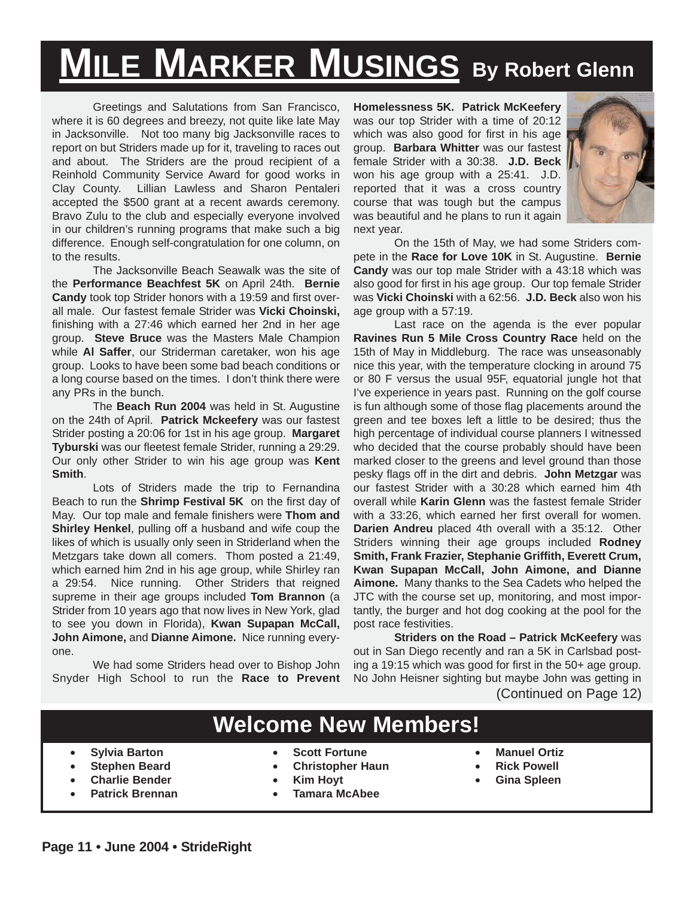# **MILE MARKER MUSINGS By Robert Glenn**

Greetings and Salutations from San Francisco, where it is 60 degrees and breezy, not quite like late May in Jacksonville. Not too many big Jacksonville races to report on but Striders made up for it, traveling to races out and about. The Striders are the proud recipient of a Reinhold Community Service Award for good works in Clay County. Lillian Lawless and Sharon Pentaleri accepted the \$500 grant at a recent awards ceremony. Bravo Zulu to the club and especially everyone involved in our children's running programs that make such a big difference. Enough self-congratulation for one column, on to the results.

The Jacksonville Beach Seawalk was the site of the **Performance Beachfest 5K** on April 24th. **Bernie Candy** took top Strider honors with a 19:59 and first overall male. Our fastest female Strider was **Vicki Choinski,** finishing with a 27:46 which earned her 2nd in her age group. **Steve Bruce** was the Masters Male Champion while **Al Saffer**, our Striderman caretaker, won his age group. Looks to have been some bad beach conditions or a long course based on the times. I don't think there were any PRs in the bunch.

The **Beach Run 2004** was held in St. Augustine on the 24th of April. **Patrick Mckeefery** was our fastest Strider posting a 20:06 for 1st in his age group. **Margaret Tyburski** was our fleetest female Strider, running a 29:29. Our only other Strider to win his age group was **Kent Smith**.

Lots of Striders made the trip to Fernandina Beach to run the **Shrimp Festival 5K** on the first day of May. Our top male and female finishers were **Thom and Shirley Henkel**, pulling off a husband and wife coup the likes of which is usually only seen in Striderland when the Metzgars take down all comers. Thom posted a 21:49, which earned him 2nd in his age group, while Shirley ran a 29:54. Nice running. Other Striders that reigned supreme in their age groups included **Tom Brannon** (a Strider from 10 years ago that now lives in New York, glad to see you down in Florida), **Kwan Supapan McCall, John Aimone,** and **Dianne Aimone.** Nice running everyone.

We had some Striders head over to Bishop John Snyder High School to run the **Race to Prevent** **Homelessness 5K. Patrick McKeefery** was our top Strider with a time of 20:12 which was also good for first in his age group. **Barbara Whitter** was our fastest female Strider with a 30:38. **J.D. Beck** won his age group with a 25:41. J.D. reported that it was a cross country course that was tough but the campus was beautiful and he plans to run it again next year.



On the 15th of May, we had some Striders compete in the **Race for Love 10K** in St. Augustine. **Bernie Candy** was our top male Strider with a 43:18 which was also good for first in his age group. Our top female Strider was **Vicki Choinski** with a 62:56. **J.D. Beck** also won his age group with a 57:19.

Last race on the agenda is the ever popular **Ravines Run 5 Mile Cross Country Race** held on the 15th of May in Middleburg. The race was unseasonably nice this year, with the temperature clocking in around 75 or 80 F versus the usual 95F, equatorial jungle hot that I've experience in years past. Running on the golf course is fun although some of those flag placements around the green and tee boxes left a little to be desired; thus the high percentage of individual course planners I witnessed who decided that the course probably should have been marked closer to the greens and level ground than those pesky flags off in the dirt and debris. **John Metzgar** was our fastest Strider with a 30:28 which earned him 4th overall while **Karin Glenn** was the fastest female Strider with a 33:26, which earned her first overall for women. **Darien Andreu** placed 4th overall with a 35:12. Other Striders winning their age groups included **Rodney Smith, Frank Frazier, Stephanie Griffith, Everett Crum, Kwan Supapan McCall, John Aimone, and Dianne Aimone.** Many thanks to the Sea Cadets who helped the JTC with the course set up, monitoring, and most importantly, the burger and hot dog cooking at the pool for the post race festivities.

**Striders on the Road – Patrick McKeefery** was out in San Diego recently and ran a 5K in Carlsbad posting a 19:15 which was good for first in the 50+ age group. No John Heisner sighting but maybe John was getting in (Continued on Page 12)

# **Welcome New Members!**

- **Sylvia Barton**
- **Stephen Beard**
- **Charlie Bender**
- **Patrick Brennan**
- **Scott Fortune**
- **Christopher Haun**
- **Kim Hoyt**
- **Tamara McAbee**
- **Manuel Ortiz**
- **Rick Powell**
- **Gina Spleen**